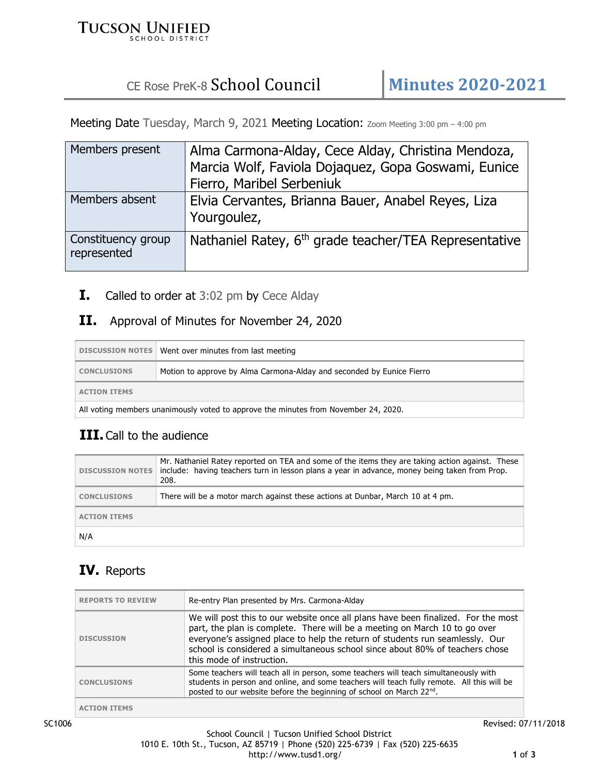#### **TUCSON UNIFIED** SCHOOL DISTRICT

# CE Rose PreK-8 School Council **Minutes 2020-2021**

Meeting Date Tuesday, March 9, 2021 Meeting Location: Zoom Meeting 3:00 pm - 4:00 pm

| Members present                   | Alma Carmona-Alday, Cece Alday, Christina Mendoza,<br>Marcia Wolf, Faviola Dojaquez, Gopa Goswami, Eunice<br>Fierro, Maribel Serbeniuk |
|-----------------------------------|----------------------------------------------------------------------------------------------------------------------------------------|
| Members absent                    | Elvia Cervantes, Brianna Bauer, Anabel Reyes, Liza<br>Yourgoulez,                                                                      |
| Constituency group<br>represented | Nathaniel Ratey, 6 <sup>th</sup> grade teacher/TEA Representative                                                                      |

**I.** Called to order at 3:02 pm by Cece Alday

#### **II.** Approval of Minutes for November 24, 2020

|                                                                                     | DISCUSSION NOTES Went over minutes from last meeting                  |
|-------------------------------------------------------------------------------------|-----------------------------------------------------------------------|
| <b>CONCLUSIONS</b>                                                                  | Motion to approve by Alma Carmona-Alday and seconded by Eunice Fierro |
| <b>ACTION ITEMS</b>                                                                 |                                                                       |
| All voting members unanimously voted to approve the minutes from November 24, 2020. |                                                                       |

### **III.** Call to the audience

|                     | Mr. Nathaniel Ratey reported on TEA and some of the items they are taking action against. These<br>DISCUSSION NOTES   include: having teachers turn in lesson plans a year in advance, money being taken from Prop.<br>208. |
|---------------------|-----------------------------------------------------------------------------------------------------------------------------------------------------------------------------------------------------------------------------|
| <b>CONCLUSIONS</b>  | There will be a motor march against these actions at Dunbar, March 10 at 4 pm.                                                                                                                                              |
| <b>ACTION ITEMS</b> |                                                                                                                                                                                                                             |
| N/A                 |                                                                                                                                                                                                                             |

### **IV.** Reports

| <b>REPORTS TO REVIEW</b> | Re-entry Plan presented by Mrs. Carmona-Alday                                                                                                                                                                                                                                                                                                                |
|--------------------------|--------------------------------------------------------------------------------------------------------------------------------------------------------------------------------------------------------------------------------------------------------------------------------------------------------------------------------------------------------------|
| <b>DISCUSSION</b>        | We will post this to our website once all plans have been finalized. For the most<br>part, the plan is complete. There will be a meeting on March 10 to go over<br>everyone's assigned place to help the return of students run seamlessly. Our<br>school is considered a simultaneous school since about 80% of teachers chose<br>this mode of instruction. |
| <b>CONCLUSIONS</b>       | Some teachers will teach all in person, some teachers will teach simultaneously with<br>students in person and online, and some teachers will teach fully remote. All this will be<br>posted to our website before the beginning of school on March 22 <sup>nd</sup> .                                                                                       |
| <b>ACTION ITEMS</b>      |                                                                                                                                                                                                                                                                                                                                                              |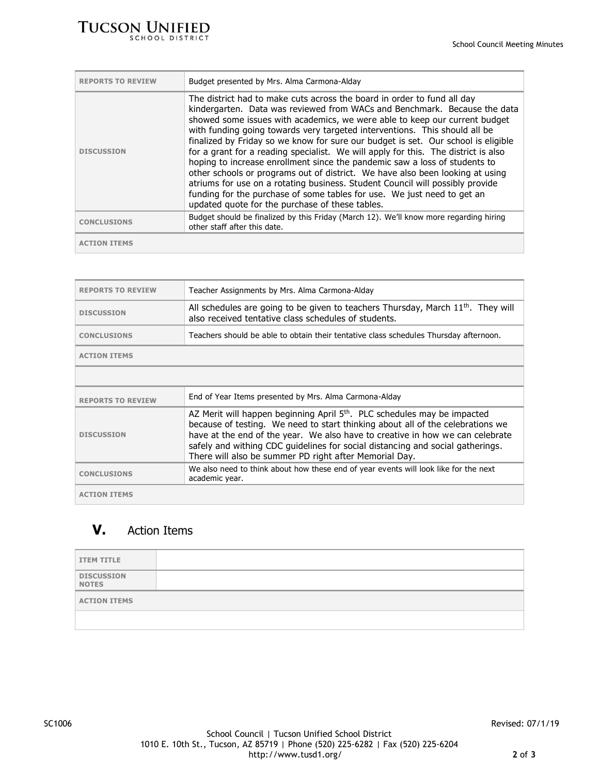| <b>REPORTS TO REVIEW</b> | Budget presented by Mrs. Alma Carmona-Alday                                                                                                                                                                                                                                                                                                                                                                                                                                                                                                                                                                                                                                                                                                                                                                                                                               |
|--------------------------|---------------------------------------------------------------------------------------------------------------------------------------------------------------------------------------------------------------------------------------------------------------------------------------------------------------------------------------------------------------------------------------------------------------------------------------------------------------------------------------------------------------------------------------------------------------------------------------------------------------------------------------------------------------------------------------------------------------------------------------------------------------------------------------------------------------------------------------------------------------------------|
| <b>DISCUSSION</b>        | The district had to make cuts across the board in order to fund all day<br>kindergarten. Data was reviewed from WACs and Benchmark. Because the data<br>showed some issues with academics, we were able to keep our current budget<br>with funding going towards very targeted interventions. This should all be<br>finalized by Friday so we know for sure our budget is set. Our school is eligible<br>for a grant for a reading specialist. We will apply for this. The district is also<br>hoping to increase enrollment since the pandemic saw a loss of students to<br>other schools or programs out of district. We have also been looking at using<br>atriums for use on a rotating business. Student Council will possibly provide<br>funding for the purchase of some tables for use. We just need to get an<br>updated quote for the purchase of these tables. |
| <b>CONCLUSIONS</b>       | Budget should be finalized by this Friday (March 12). We'll know more regarding hiring<br>other staff after this date.                                                                                                                                                                                                                                                                                                                                                                                                                                                                                                                                                                                                                                                                                                                                                    |
|                          |                                                                                                                                                                                                                                                                                                                                                                                                                                                                                                                                                                                                                                                                                                                                                                                                                                                                           |

| <b>REPORTS TO REVIEW</b> | Teacher Assignments by Mrs. Alma Carmona-Alday                                                                                                                                                                                                                                                                                                                                                      |
|--------------------------|-----------------------------------------------------------------------------------------------------------------------------------------------------------------------------------------------------------------------------------------------------------------------------------------------------------------------------------------------------------------------------------------------------|
| <b>DISCUSSION</b>        | All schedules are going to be given to teachers Thursday, March 11 <sup>th</sup> . They will<br>also received tentative class schedules of students.                                                                                                                                                                                                                                                |
| <b>CONCLUSIONS</b>       | Teachers should be able to obtain their tentative class schedules Thursday afternoon.                                                                                                                                                                                                                                                                                                               |
| <b>ACTION ITEMS</b>      |                                                                                                                                                                                                                                                                                                                                                                                                     |
|                          |                                                                                                                                                                                                                                                                                                                                                                                                     |
|                          |                                                                                                                                                                                                                                                                                                                                                                                                     |
| <b>REPORTS TO REVIEW</b> | End of Year Items presented by Mrs. Alma Carmona-Alday                                                                                                                                                                                                                                                                                                                                              |
| <b>DISCUSSION</b>        | AZ Merit will happen beginning April 5 <sup>th</sup> . PLC schedules may be impacted<br>because of testing. We need to start thinking about all of the celebrations we<br>have at the end of the year. We also have to creative in how we can celebrate<br>safely and withing CDC guidelines for social distancing and social gatherings.<br>There will also be summer PD right after Memorial Day. |
| <b>CONCLUSIONS</b>       | We also need to think about how these end of year events will look like for the next<br>academic year.                                                                                                                                                                                                                                                                                              |

## **V.** Action Items

| <b>ITEM TITLE</b>                 |  |
|-----------------------------------|--|
| <b>DISCUSSION</b><br><b>NOTES</b> |  |
| <b>ACTION ITEMS</b>               |  |
|                                   |  |